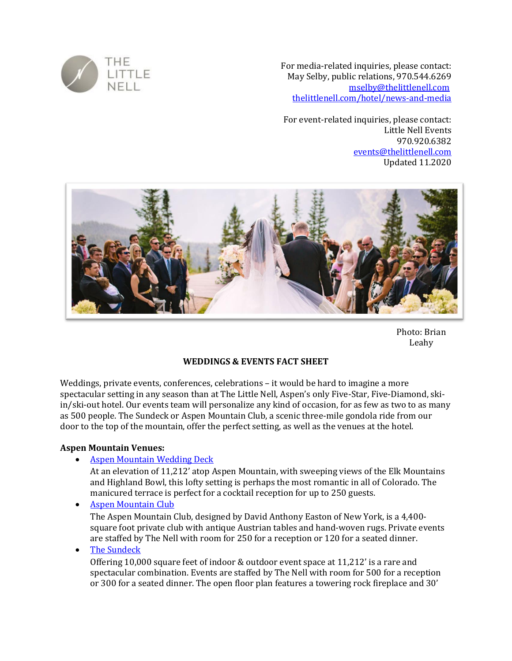

For media-related inquiries, please contact: May Selby, public relations, 970.544.6269 [mselby@thelittlenell.com](mailto:mselby@thelittlenell.com) [thelittlenell.com/hotel/news-and-media](https://www.thelittlenell.com/hotel/news-and-media)

For event-related inquiries, please contact: Little Nell Events 970.920.6382 [events@thelittlenell.com](mailto:events@thelittlenell.com) Updated 11.2020



Photo: Brian Leahy

### **WEDDINGS & EVENTS FACT SHEET**

Weddings, private events, conferences, celebrations – it would be hard to imagine a more spectacular setting in any season than at The Little Nell, Aspen's only Five-Star, Five-Diamond, skiin/ski-out hotel. Our events team will personalize any kind of occasion, for as few as two to as many as 500 people. The Sundeck or Aspen Mountain Club, a scenic three-mile gondola ride from our door to the top of the mountain, offer the perfect setting, as well as the venues at the hotel.

#### **Aspen Mountain Venues:**

• [Aspen Mountain Wedding Deck](https://www.thelittlenell.com/occasions/weddings/venues/wedding-deck)

At an elevation of 11,212' atop Aspen Mountain, with sweeping views of the Elk Mountains and Highland Bowl, this lofty setting is perhaps the most romantic in all of Colorado. The manicured terrace is perfect for a cocktail reception for up to 250 guests.

• [Aspen Mountain Club](https://www.thelittlenell.com/occasions/weddings/venues/aspen-mountain-club)

The Aspen Mountain Club, designed by David Anthony Easton of New York, is a 4,400 square foot private club with antique Austrian tables and hand-woven rugs. Private events are staffed by The Nell with room for 250 for a reception or 120 for a seated dinner.

• [The Sundeck](https://www.thelittlenell.com/occasions/weddings/venues/sundeck)

Offering 10,000 square feet of indoor & outdoor event space at 11,212' is a rare and spectacular combination. Events are staffed by The Nell with room for 500 for a reception or 300 for a seated dinner. The open floor plan features a towering rock fireplace and 30'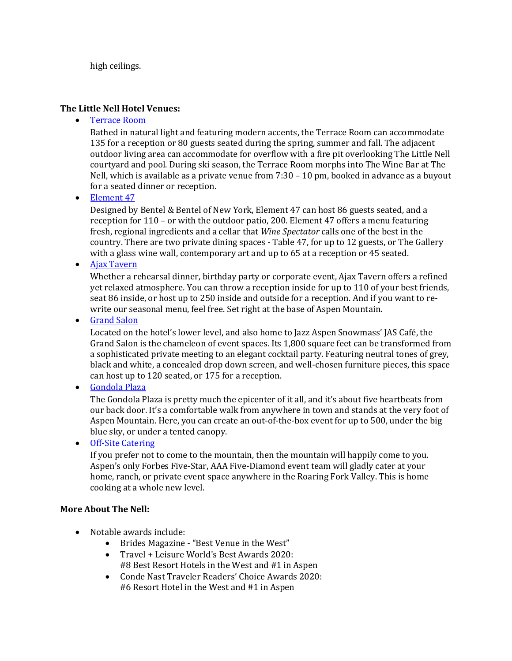high ceilings.

#### **The Little Nell Hotel Venues:**

• [Terrace Room](https://www.thelittlenell.com/occasions/weddings/venues/terrace-room)

Bathed in natural light and featuring modern accents, the Terrace Room can accommodate 135 for a reception or 80 guests seated during the spring, summer and fall. The adjacent outdoor living area can accommodate for overflow with a fire pit overlooking The Little Nell courtyard and pool. During ski season, the Terrace Room morphs into The Wine Bar at The Nell, which is available as a private venue from 7:30 – 10 pm, booked in advance as a buyout for a seated dinner or reception.

• [Element 47](https://www.thelittlenell.com/occasions/weddings/venues/element-47)

Designed by Bentel & Bentel of New York, Element 47 can host 86 guests seated, and a reception for 110 – or with the outdoor patio, 200. Element 47 offers a menu featuring fresh, regional ingredients and a cellar that *Wine Spectator* calls one of the best in the country. There are two private dining spaces - Table 47, for up to 12 guests, or The Gallery with a glass wine wall, contemporary art and up to 65 at a reception or 45 seated.

• [Ajax Tavern](https://www.thelittlenell.com/occasions/weddings/venues/ajax-tavern)

Whether a rehearsal dinner, birthday party or corporate event, Ajax Tavern offers a refined yet relaxed atmosphere. You can throw a reception inside for up to 110 of your best friends, seat 86 inside, or host up to 250 inside and outside for a reception. And if you want to rewrite our seasonal menu, feel free. Set right at the base of Aspen Mountain.

• **[Grand Salon](https://www.thelittlenell.com/occasions/weddings/venues/grand-salon)** 

Located on the hotel's lower level, and also home to Jazz Aspen Snowmass' JAS Café, the Grand Salon is the chameleon of event spaces. Its 1,800 square feet can be transformed from a sophisticated private meeting to an elegant cocktail party. Featuring neutral tones of grey, black and white, a concealed drop down screen, and well-chosen furniture pieces, this space can host up to 120 seated, or 175 for a reception.

• [Gondola Plaza](https://www.thelittlenell.com/occasions/weddings/venues/gondola-plaza)

The Gondola Plaza is pretty much the epicenter of it all, and it's about five heartbeats from our back door. It's a comfortable walk from anywhere in town and stands at the very foot of Aspen Mountain. Here, you can create an out-of-the-box event for up to 500, under the big blue sky, or under a tented canopy.

• [Off-Site Catering](https://www.thelittlenell.com/occasions/weddings/venues/off-premise-events)

If you prefer not to come to the mountain, then the mountain will happily come to you. Aspen's only Forbes Five-Star, AAA Five-Diamond event team will gladly cater at your home, ranch, or private event space anywhere in the Roaring Fork Valley. This is home cooking at a whole new level.

### **More About The Nell:**

- Notable [awards](https://www.thelittlenell.com/the-hotel/awards) include:
	- Brides Magazine "Best Venue in the West"
	- Travel + Leisure World's Best Awards 2020: #8 Best Resort Hotels in the West and #1 in Aspen
	- Conde Nast Traveler Readers' Choice Awards 2020: #6 Resort Hotel in the West and #1 in Aspen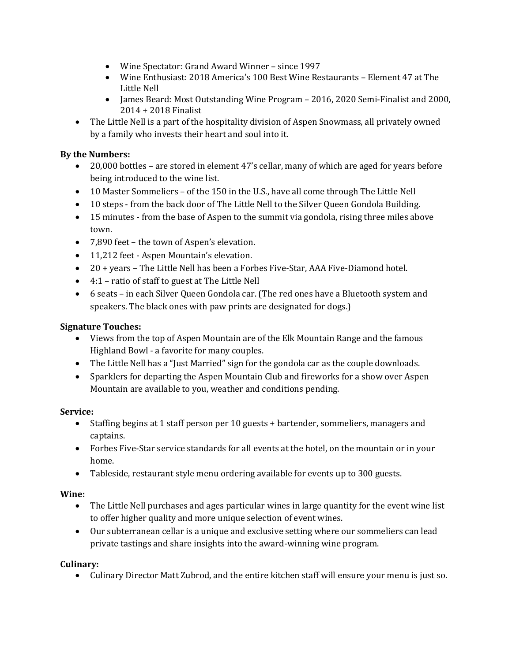- Wine Spectator: Grand Award Winner since 1997
- Wine Enthusiast: 2018 America's 100 Best Wine Restaurants [Element 47 at The](https://www.thelittlenell.com/dining/element-47)  [Little Nell](https://www.thelittlenell.com/dining/element-47)
- James Beard: Most Outstanding Wine Program 2016, 2020 Semi-Finalist and 2000, 2014 + 2018 Finalist
- The Little Nell is a part of the hospitality division of Aspen Snowmass, all privately owned by a family who invests their heart and soul into it.

## **By the Numbers:**

- 20,000 bottles are stored in element 47's cellar, many of which are aged for years before being introduced to the wine list.
- 10 Master Sommeliers of the 150 in the U.S., have all come through The Little Nell
- 10 steps from the back door of The Little Nell to the Silver Queen Gondola Building.
- 15 minutes from the base of Aspen to the summit via gondola, rising three miles above town.
- 7,890 feet the town of Aspen's elevation.
- 11,212 feet Aspen Mountain's elevation.
- 20 + years The Little Nell has been a Forbes Five-Star, AAA Five-Diamond hotel.
- 4:1 ratio of staff to guest at The Little Nell
- 6 seats in each Silver Queen Gondola car. (The red ones have a Bluetooth system and speakers. The black ones with paw prints are designated for dogs.)

## **Signature Touches:**

- Views from the top of Aspen Mountain are of the Elk Mountain Range and the famous Highland Bowl - a favorite for many couples.
- The Little Nell has a "Just Married" sign for the gondola car as the couple downloads.
- Sparklers for departing the Aspen Mountain Club and fireworks for a show over Aspen Mountain are available to you, weather and conditions pending.

### **Service:**

- Staffing begins at 1 staff person per 10 guests + bartender, sommeliers, managers and captains.
- Forbes Five-Star service standards for all events at the hotel, on the mountain or in your home.
- Tableside, restaurant style menu ordering available for events up to 300 guests.

### **Wine:**

- The Little Nell purchases and ages particular wines in large quantity for the event wine list to offer higher quality and more unique selection of event wines.
- Our subterranean cellar is a unique and exclusive setting where our sommeliers can lead private tastings and share insights into the award-winning wine program.

### **Culinary:**

• Culinary Director Matt Zubrod, and the entire kitchen staff will ensure your menu is just so.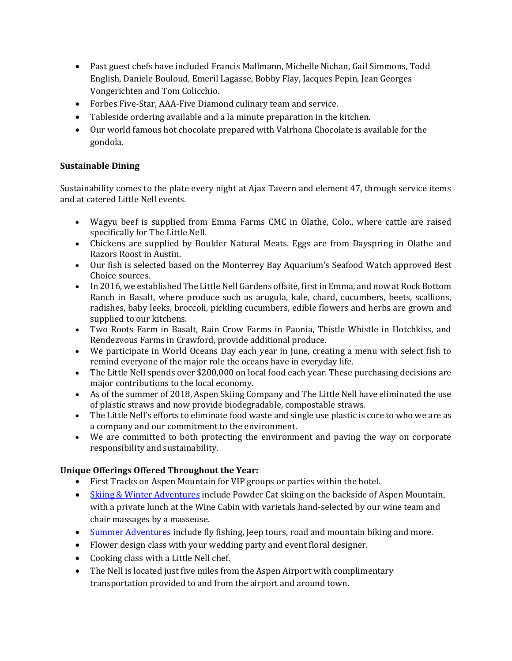- Past guest chefs have included Francis Mallmann, Michelle Nichan, Gail Simmons, Todd English, Daniele Bouloud, Emeril Lagasse, Bobby Flay, Jacques Pepin, Jean Georges Vongerichten and Tom Colicchio.
- Forbes Five-Star, AAA-Five Diamond culinary team and service.
- Tableside ordering available and a la minute preparation in the kitchen.
- Our world famous hot chocolate prepared with Valrhona Chocolate is available for the gondola.

## **Sustainable Dining**

Sustainability comes to the plate every night at Ajax Tavern and element 47, through service items and at catered Little Nell events.

- Wagyu beef is supplied from Emma Farms CMC in Olathe, Colo., where cattle are raised specifically for The Little Nell.
- Chickens are supplied by Boulder Natural Meats. Eggs are from Dayspring in Olathe and Razors Roost in Austin.
- Our fish is selected based on the Monterrey Bay Aquarium's Seafood Watch approved Best Choice sources.
- In 2016, we established The Little Nell Gardens offsite, first in Emma, and now at Rock Bottom Ranch in Basalt, where produce such as arugula, kale, chard, cucumbers, beets, scallions, radishes, baby leeks, broccoli, pickling cucumbers, edible flowers and herbs are grown and supplied to our kitchens.
- Two Roots Farm in Basalt, Rain Crow Farms in Paonia, Thistle Whistle in Hotchkiss, and Rendezvous Farms in Crawford, provide additional produce.
- We participate in World Oceans Day each year in June, creating a menu with select fish to remind everyone of the major role the oceans have in everyday life.
- The Little Nell spends over \$200,000 on local food each year. These purchasing decisions are major contributions to the local economy.
- As of the summer of 2018, Aspen Skiing Company and The Little Nell have eliminated the use of plastic straws and now provide biodegradable, compostable straws.
- The Little Nell's efforts to eliminate food waste and single use plastic is core to who we are as a company and our commitment to the environment.
- We are committed to both protecting the environment and paving the way on corporate responsibility and sustainability.

# **Unique Offerings Offered Throughout the Year:**

- First Tracks on Aspen Mountain for VIP groups or parties within the hotel.
- [Skiing & Winter Adventures](https://www.thelittlenell.com/adventures/skiing-and-winter-adventures) include Powder Cat skiing on the backside of Aspen Mountain, with a private lunch at the Wine Cabin with varietals hand-selected by our wine team and chair massages by a masseuse.
- [Summer Adventures](https://www.thelittlenell.com/adventures/summer-adventures) include fly fishing, Jeep tours, road and mountain biking and more.
- Flower design class with your wedding party and event floral designer.
- Cooking class with a Little Nell chef.
- The Nell is located just five miles from the Aspen Airport with complimentary transportation provided to and from the airport and around town.